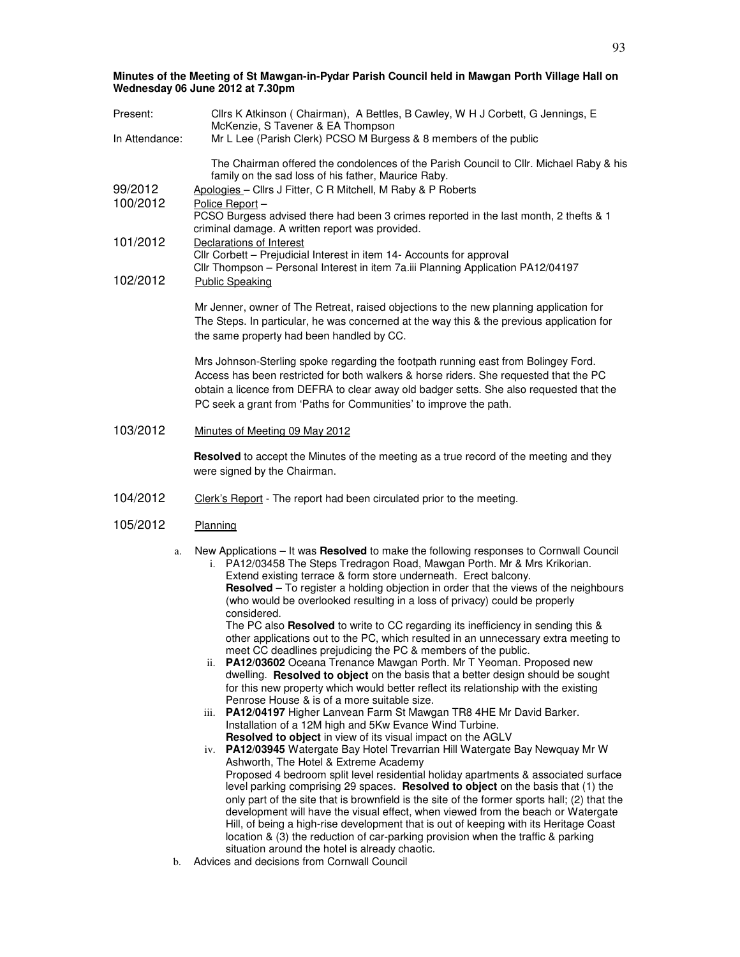| Present:             | Cllrs K Atkinson ( Chairman), A Bettles, B Cawley, W H J Corbett, G Jennings, E<br>McKenzie, S Tavener & EA Thompson                                                                                                                                                                                                                                                                                                                                                                                                                                                                                                                                                                                                                                                                                                                                                                                                                                                                                                                                                                                                                                                                                                                                                                                                                                                                                                                                                                         |  |
|----------------------|----------------------------------------------------------------------------------------------------------------------------------------------------------------------------------------------------------------------------------------------------------------------------------------------------------------------------------------------------------------------------------------------------------------------------------------------------------------------------------------------------------------------------------------------------------------------------------------------------------------------------------------------------------------------------------------------------------------------------------------------------------------------------------------------------------------------------------------------------------------------------------------------------------------------------------------------------------------------------------------------------------------------------------------------------------------------------------------------------------------------------------------------------------------------------------------------------------------------------------------------------------------------------------------------------------------------------------------------------------------------------------------------------------------------------------------------------------------------------------------------|--|
| In Attendance:       | Mr L Lee (Parish Clerk) PCSO M Burgess & 8 members of the public                                                                                                                                                                                                                                                                                                                                                                                                                                                                                                                                                                                                                                                                                                                                                                                                                                                                                                                                                                                                                                                                                                                                                                                                                                                                                                                                                                                                                             |  |
| 99/2012<br>100/2012  | The Chairman offered the condolences of the Parish Council to Cllr. Michael Raby & his<br>family on the sad loss of his father, Maurice Raby.<br>Apologies - Cllrs J Fitter, C R Mitchell, M Raby & P Roberts<br>Police Report-<br>PCSO Burgess advised there had been 3 crimes reported in the last month, 2 thefts & 1                                                                                                                                                                                                                                                                                                                                                                                                                                                                                                                                                                                                                                                                                                                                                                                                                                                                                                                                                                                                                                                                                                                                                                     |  |
|                      | criminal damage. A written report was provided.                                                                                                                                                                                                                                                                                                                                                                                                                                                                                                                                                                                                                                                                                                                                                                                                                                                                                                                                                                                                                                                                                                                                                                                                                                                                                                                                                                                                                                              |  |
| 101/2012<br>102/2012 | Declarations of Interest<br>Cllr Corbett - Prejudicial Interest in item 14- Accounts for approval<br>Cllr Thompson - Personal Interest in item 7a.iii Planning Application PA12/04197<br><b>Public Speaking</b>                                                                                                                                                                                                                                                                                                                                                                                                                                                                                                                                                                                                                                                                                                                                                                                                                                                                                                                                                                                                                                                                                                                                                                                                                                                                              |  |
|                      | Mr Jenner, owner of The Retreat, raised objections to the new planning application for<br>The Steps. In particular, he was concerned at the way this & the previous application for<br>the same property had been handled by CC.                                                                                                                                                                                                                                                                                                                                                                                                                                                                                                                                                                                                                                                                                                                                                                                                                                                                                                                                                                                                                                                                                                                                                                                                                                                             |  |
|                      | Mrs Johnson-Sterling spoke regarding the footpath running east from Bolingey Ford.<br>Access has been restricted for both walkers & horse riders. She requested that the PC<br>obtain a licence from DEFRA to clear away old badger setts. She also requested that the<br>PC seek a grant from 'Paths for Communities' to improve the path.                                                                                                                                                                                                                                                                                                                                                                                                                                                                                                                                                                                                                                                                                                                                                                                                                                                                                                                                                                                                                                                                                                                                                  |  |
| 103/2012             | Minutes of Meeting 09 May 2012                                                                                                                                                                                                                                                                                                                                                                                                                                                                                                                                                                                                                                                                                                                                                                                                                                                                                                                                                                                                                                                                                                                                                                                                                                                                                                                                                                                                                                                               |  |
|                      | Resolved to accept the Minutes of the meeting as a true record of the meeting and they<br>were signed by the Chairman.                                                                                                                                                                                                                                                                                                                                                                                                                                                                                                                                                                                                                                                                                                                                                                                                                                                                                                                                                                                                                                                                                                                                                                                                                                                                                                                                                                       |  |
| 104/2012             | Clerk's Report - The report had been circulated prior to the meeting.                                                                                                                                                                                                                                                                                                                                                                                                                                                                                                                                                                                                                                                                                                                                                                                                                                                                                                                                                                                                                                                                                                                                                                                                                                                                                                                                                                                                                        |  |
| 105/2012             | Planning                                                                                                                                                                                                                                                                                                                                                                                                                                                                                                                                                                                                                                                                                                                                                                                                                                                                                                                                                                                                                                                                                                                                                                                                                                                                                                                                                                                                                                                                                     |  |
| a.                   | New Applications - It was Resolved to make the following responses to Cornwall Council<br>i. PA12/03458 The Steps Tredragon Road, Mawgan Porth. Mr & Mrs Krikorian.<br>Extend existing terrace & form store underneath. Erect balcony.<br>Resolved - To register a holding objection in order that the views of the neighbours<br>(who would be overlooked resulting in a loss of privacy) could be properly<br>considered.<br>The PC also Resolved to write to CC regarding its inefficiency in sending this &<br>other applications out to the PC, which resulted in an unnecessary extra meeting to<br>meet CC deadlines prejudicing the PC & members of the public.<br>ii. PA12/03602 Oceana Trenance Mawgan Porth. Mr T Yeoman. Proposed new<br>dwelling. Resolved to object on the basis that a better design should be sought<br>for this new property which would better reflect its relationship with the existing<br>Penrose House & is of a more suitable size.<br>PA12/04197 Higher Lanvean Farm St Mawgan TR8 4HE Mr David Barker.<br><i>iii.</i><br>Installation of a 12M high and 5Kw Evance Wind Turbine.<br>Resolved to object in view of its visual impact on the AGLV<br>iv. PA12/03945 Watergate Bay Hotel Trevarrian Hill Watergate Bay Newquay Mr W<br>Ashworth, The Hotel & Extreme Academy<br>Proposed 4 bedroom split level residential holiday apartments & associated surface<br>level parking comprising 29 spaces. Resolved to object on the basis that (1) the |  |

only part of the site that is brownfield is the site of the former sports hall; (2) that the development will have the visual effect, when viewed from the beach or Watergate Hill, of being a high-rise development that is out of keeping with its Heritage Coast location & (3) the reduction of car-parking provision when the traffic & parking situation around the hotel is already chaotic.

b. Advices and decisions from Cornwall Council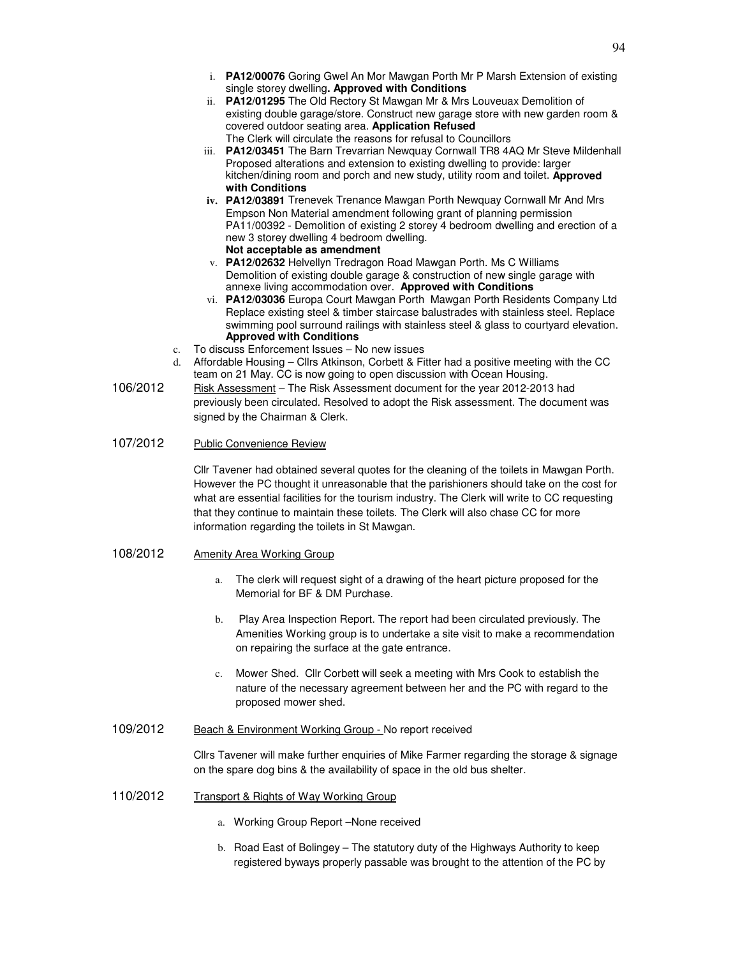- i. **PA12/00076** Goring Gwel An Mor Mawgan Porth Mr P Marsh Extension of existing single storey dwelling**. Approved with Conditions**
- ii. **PA12/01295** The Old Rectory St Mawgan Mr & Mrs Louveuax Demolition of existing double garage/store. Construct new garage store with new garden room & covered outdoor seating area. **Application Refused** The Clerk will circulate the reasons for refusal to Councillors
- iii. **PA12/03451** The Barn Trevarrian Newquay Cornwall TR8 4AQ Mr Steve Mildenhall Proposed alterations and extension to existing dwelling to provide: larger kitchen/dining room and porch and new study, utility room and toilet. **Approved with Conditions**
- **iv. PA12/03891** Trenevek Trenance Mawgan Porth Newquay Cornwall Mr And Mrs Empson Non Material amendment following grant of planning permission PA11/00392 - Demolition of existing 2 storey 4 bedroom dwelling and erection of a new 3 storey dwelling 4 bedroom dwelling. **Not acceptable as amendment**
- v. **PA12/02632** Helvellyn Tredragon Road Mawgan Porth. Ms C Williams Demolition of existing double garage & construction of new single garage with annexe living accommodation over. **Approved with Conditions**
- vi. **PA12/03036** Europa Court Mawgan Porth Mawgan Porth Residents Company Ltd Replace existing steel & timber staircase balustrades with stainless steel. Replace swimming pool surround railings with stainless steel & glass to courtyard elevation. **Approved with Conditions**
- c. To discuss Enforcement Issues No new issues
- d. Affordable Housing Cllrs Atkinson, Corbett & Fitter had a positive meeting with the CC team on 21 May. CC is now going to open discussion with Ocean Housing.
- 106/2012 Risk Assessment The Risk Assessment document for the year 2012-2013 had previously been circulated. Resolved to adopt the Risk assessment. The document was signed by the Chairman & Clerk.
- 107/2012 Public Convenience Review

Cllr Tavener had obtained several quotes for the cleaning of the toilets in Mawgan Porth. However the PC thought it unreasonable that the parishioners should take on the cost for what are essential facilities for the tourism industry. The Clerk will write to CC requesting that they continue to maintain these toilets. The Clerk will also chase CC for more information regarding the toilets in St Mawgan.

- 108/2012 Amenity Area Working Group
	- a. The clerk will request sight of a drawing of the heart picture proposed for the Memorial for BF & DM Purchase.
	- b. Play Area Inspection Report. The report had been circulated previously. The Amenities Working group is to undertake a site visit to make a recommendation on repairing the surface at the gate entrance.
	- c. Mower Shed. Cllr Corbett will seek a meeting with Mrs Cook to establish the nature of the necessary agreement between her and the PC with regard to the proposed mower shed.
- 109/2012 Beach & Environment Working Group No report received

Cllrs Tavener will make further enquiries of Mike Farmer regarding the storage & signage on the spare dog bins & the availability of space in the old bus shelter.

- 110/2012 Transport & Rights of Way Working Group
	- a. Working Group Report –None received
	- b. Road East of Bolingey The statutory duty of the Highways Authority to keep registered byways properly passable was brought to the attention of the PC by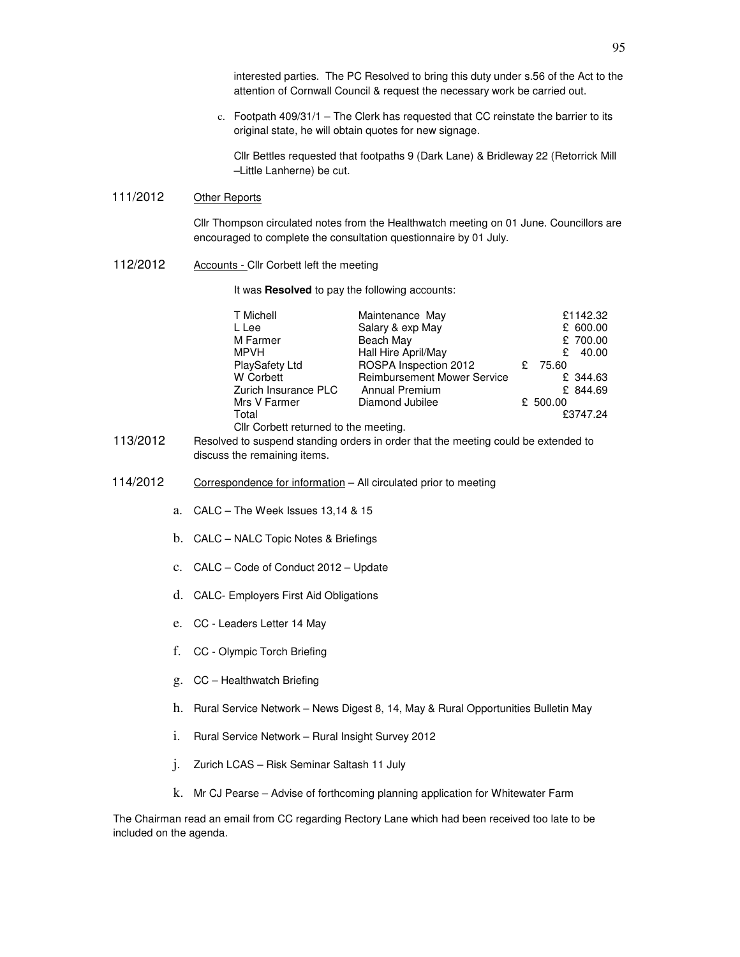interested parties. The PC Resolved to bring this duty under s.56 of the Act to the attention of Cornwall Council & request the necessary work be carried out.

c. Footpath 409/31/1 – The Clerk has requested that CC reinstate the barrier to its original state, he will obtain quotes for new signage.

Cllr Bettles requested that footpaths 9 (Dark Lane) & Bridleway 22 (Retorrick Mill –Little Lanherne) be cut.

## 111/2012 Other Reports

Cllr Thompson circulated notes from the Healthwatch meeting on 01 June. Councillors are encouraged to complete the consultation questionnaire by 01 July.

112/2012 Accounts - Cllr Corbett left the meeting

It was **Resolved** to pay the following accounts:

| T Michell                                                                                                             | Maintenance May                    | £1142.32   |  |  |
|-----------------------------------------------------------------------------------------------------------------------|------------------------------------|------------|--|--|
| L Lee                                                                                                                 | Salary & exp May                   | £ 600.00   |  |  |
| M Farmer                                                                                                              | Beach May                          | £ 700.00   |  |  |
| <b>MPVH</b>                                                                                                           | Hall Hire April/May                | 40.00<br>£ |  |  |
| PlaySafety Ltd                                                                                                        | ROSPA Inspection 2012              | 75.60<br>£ |  |  |
| <b>W</b> Corbett                                                                                                      | <b>Reimbursement Mower Service</b> | £ 344.63   |  |  |
| Zurich Insurance PLC                                                                                                  | <b>Annual Premium</b>              | £ 844.69   |  |  |
| Mrs V Farmer                                                                                                          | Diamond Jubilee                    | £ 500.00   |  |  |
| Total                                                                                                                 |                                    | £3747.24   |  |  |
| Cllr Corbett returned to the meeting.                                                                                 |                                    |            |  |  |
| <b>P</b> robably of the compared that allows and she has departed the moderation of the line of the contracted to the |                                    |            |  |  |

- 113/2012 Resolved to suspend standing orders in order that the meeting could be extended to discuss the remaining items.
- 114/2012 Correspondence for information All circulated prior to meeting
	- a. CALC The Week Issues 13,14 & 15
	- b. CALC NALC Topic Notes & Briefings
	- c. CALC Code of Conduct 2012 Update
	- d. CALC- Employers First Aid Obligations
	- e. CC Leaders Letter 14 May
	- f. CC Olympic Torch Briefing
	- g. CC Healthwatch Briefing
	- h. Rural Service Network News Digest 8, 14, May & Rural Opportunities Bulletin May
	- i. Rural Service Network Rural Insight Survey 2012
	- j. Zurich LCAS Risk Seminar Saltash 11 July
	- k. Mr CJ Pearse Advise of forthcoming planning application for Whitewater Farm

The Chairman read an email from CC regarding Rectory Lane which had been received too late to be included on the agenda.